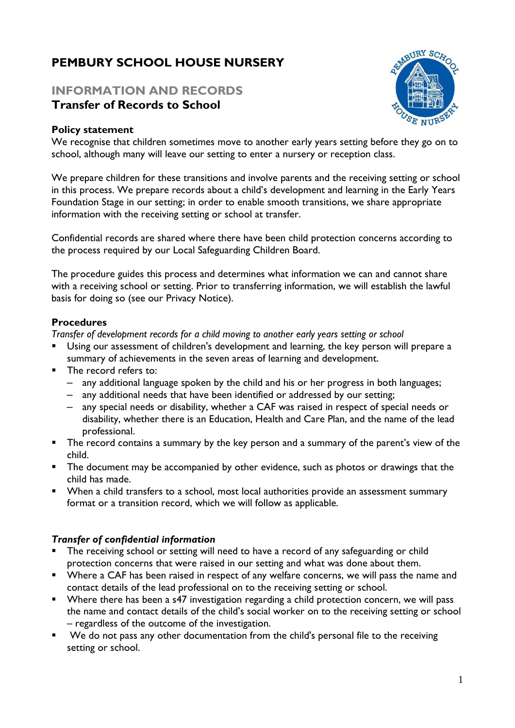# **PEMBURY SCHOOL HOUSE NURSERY**

# **INFORMATION AND RECORDS Transfer of Records to School**

#### **Policy statement**

We recognise that children sometimes move to another early years setting before they go on to school, although many will leave our setting to enter a nursery or reception class.

We prepare children for these transitions and involve parents and the receiving setting or school in this process. We prepare records about a child's development and learning in the Early Years Foundation Stage in our setting; in order to enable smooth transitions, we share appropriate information with the receiving setting or school at transfer.

Confidential records are shared where there have been child protection concerns according to the process required by our Local Safeguarding Children Board.

The procedure guides this process and determines what information we can and cannot share with a receiving school or setting. Prior to transferring information, we will establish the lawful basis for doing so (see our Privacy Notice).

#### **Procedures**

*Transfer of development records for a child moving to another early years setting or school*

- Using our assessment of children's development and learning, the key person will prepare a summary of achievements in the seven areas of learning and development.
- The record refers to:
	- any additional language spoken by the child and his or her progress in both languages;
	- any additional needs that have been identified or addressed by our setting;
	- any special needs or disability, whether a CAF was raised in respect of special needs or disability, whether there is an Education, Health and Care Plan, and the name of the lead professional.
- **The record contains a summary by the key person and a summary of the parent's view of the** child.
- **•** The document may be accompanied by other evidence, such as photos or drawings that the child has made.
- When a child transfers to a school, most local authorities provide an assessment summary format or a transition record, which we will follow as applicable.

## *Transfer of confidential information*

- The receiving school or setting will need to have a record of any safeguarding or child protection concerns that were raised in our setting and what was done about them.
- Where a CAF has been raised in respect of any welfare concerns, we will pass the name and contact details of the lead professional on to the receiving setting or school.
- Where there has been a s47 investigation regarding a child protection concern, we will pass the name and contact details of the child's social worker on to the receiving setting or school – regardless of the outcome of the investigation.
- We do not pass any other documentation from the child's personal file to the receiving setting or school.